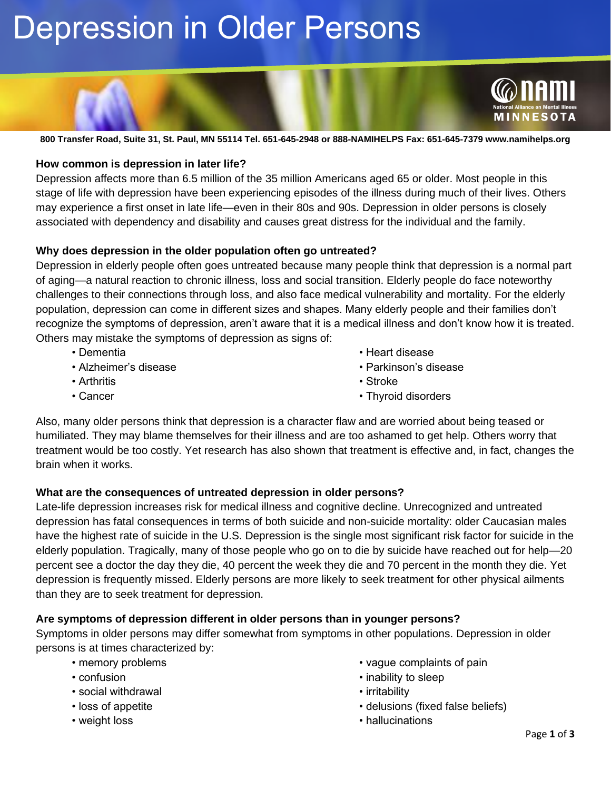# Depression in Older Persons



**800 Transfer Road, Suite 31, St. Paul, MN 55114 Tel. 651-645-2948 or 888-NAMIHELPS Fax: 651-645-7379 www.namihelps.org**

# **How common is depression in later life?**

Depression affects more than 6.5 million of the 35 million Americans aged 65 or older. Most people in this stage of life with depression have been experiencing episodes of the illness during much of their lives. Others may experience a first onset in late life—even in their 80s and 90s. Depression in older persons is closely associated with dependency and disability and causes great distress for the individual and the family.

### **Why does depression in the older population often go untreated?**

Depression in elderly people often goes untreated because many people think that depression is a normal part of aging—a natural reaction to chronic illness, loss and social transition. Elderly people do face noteworthy challenges to their connections through loss, and also face medical vulnerability and mortality. For the elderly population, depression can come in different sizes and shapes. Many elderly people and their families don't recognize the symptoms of depression, aren't aware that it is a medical illness and don't know how it is treated. Others may mistake the symptoms of depression as signs of:

- Dementia
- Alzheimer's disease
- Arthritis
- Cancer
- Heart disease
- Parkinson's disease
- Stroke
- Thyroid disorders

Also, many older persons think that depression is a character flaw and are worried about being teased or humiliated. They may blame themselves for their illness and are too ashamed to get help. Others worry that treatment would be too costly. Yet research has also shown that treatment is effective and, in fact, changes the brain when it works.

### **What are the consequences of untreated depression in older persons?**

Late-life depression increases risk for medical illness and cognitive decline. Unrecognized and untreated depression has fatal consequences in terms of both suicide and non-suicide mortality: older Caucasian males have the highest rate of suicide in the U.S. Depression is the single most significant risk factor for suicide in the elderly population. Tragically, many of those people who go on to die by suicide have reached out for help—20 percent see a doctor the day they die, 40 percent the week they die and 70 percent in the month they die. Yet depression is frequently missed. Elderly persons are more likely to seek treatment for other physical ailments than they are to seek treatment for depression.

### **Are symptoms of depression different in older persons than in younger persons?**

Symptoms in older persons may differ somewhat from symptoms in other populations. Depression in older persons is at times characterized by:

- memory problems
- confusion
- social withdrawal
- loss of appetite
- weight loss
- vague complaints of pain
- inability to sleep
- irritability
- delusions (fixed false beliefs)
- hallucinations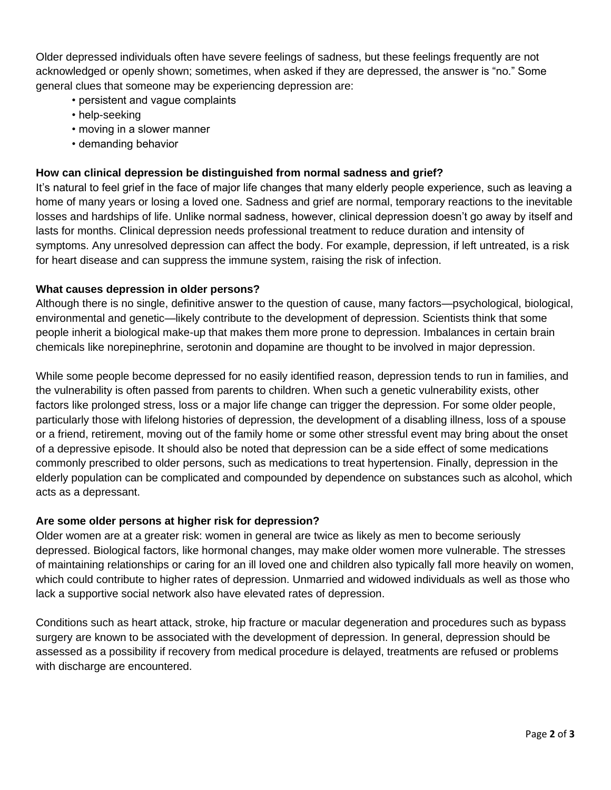Older depressed individuals often have severe feelings of sadness, but these feelings frequently are not acknowledged or openly shown; sometimes, when asked if they are depressed, the answer is "no." Some general clues that someone may be experiencing depression are:

- persistent and vague complaints
- help-seeking
- moving in a slower manner
- demanding behavior

# **How can clinical depression be distinguished from normal sadness and grief?**

It's natural to feel grief in the face of major life changes that many elderly people experience, such as leaving a home of many years or losing a loved one. Sadness and grief are normal, temporary reactions to the inevitable losses and hardships of life. Unlike normal sadness, however, clinical depression doesn't go away by itself and lasts for months. Clinical depression needs professional treatment to reduce duration and intensity of symptoms. Any unresolved depression can affect the body. For example, depression, if left untreated, is a risk for heart disease and can suppress the immune system, raising the risk of infection.

#### **What causes depression in older persons?**

Although there is no single, definitive answer to the question of cause, many factors—psychological, biological, environmental and genetic—likely contribute to the development of depression. Scientists think that some people inherit a biological make-up that makes them more prone to depression. Imbalances in certain brain chemicals like norepinephrine, serotonin and dopamine are thought to be involved in major depression.

While some people become depressed for no easily identified reason, depression tends to run in families, and the vulnerability is often passed from parents to children. When such a genetic vulnerability exists, other factors like prolonged stress, loss or a major life change can trigger the depression. For some older people, particularly those with lifelong histories of depression, the development of a disabling illness, loss of a spouse or a friend, retirement, moving out of the family home or some other stressful event may bring about the onset of a depressive episode. It should also be noted that depression can be a side effect of some medications commonly prescribed to older persons, such as medications to treat hypertension. Finally, depression in the elderly population can be complicated and compounded by dependence on substances such as alcohol, which acts as a depressant.

### **Are some older persons at higher risk for depression?**

Older women are at a greater risk: women in general are twice as likely as men to become seriously depressed. Biological factors, like hormonal changes, may make older women more vulnerable. The stresses of maintaining relationships or caring for an ill loved one and children also typically fall more heavily on women, which could contribute to higher rates of depression. Unmarried and widowed individuals as well as those who lack a supportive social network also have elevated rates of depression.

Conditions such as heart attack, stroke, hip fracture or macular degeneration and procedures such as bypass surgery are known to be associated with the development of depression. In general, depression should be assessed as a possibility if recovery from medical procedure is delayed, treatments are refused or problems with discharge are encountered.